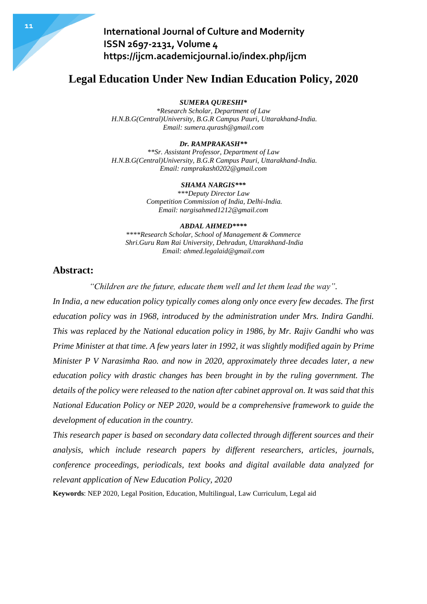# **Legal Education Under New Indian Education Policy, 2020**

*SUMERA QURESHI\**

*\*Research Scholar, Department of Law H.N.B.G(Central)University, B.G.R Campus Pauri, Uttarakhand-India. Email: sumera.qurash@gmail.com*

#### *Dr. RAMPRAKASH\*\**

*\*\*Sr. Assistant Professor, Department of Law H.N.B.G(Central)University, B.G.R Campus Pauri, Uttarakhand-India. Email: ramprakash0202@gmail.com*

#### *SHAMA NARGIS\*\*\**

*\*\*\*Deputy Director Law Competition Commission of India, Delhi-India. Email: nargisahmed1212@gmail.com*

#### *ABDAL AHMED\*\*\*\**

*\*\*\*\*Research Scholar, School of Management & Commerce Shri.Guru Ram Rai University, Dehradun, Uttarakhand-India Email: ahmed.legalaid@gmail.com*

### **Abstract:**

*"Children are the future, educate them well and let them lead the way".*

*In India, a new education policy typically comes along only once every few decades. The first education policy was in 1968, introduced by the administration under Mrs. Indira Gandhi. This was replaced by the National education policy in 1986, by Mr. Rajiv Gandhi who was Prime Minister at that time. A few years later in 1992, it was slightly modified again by Prime Minister P V Narasimha Rao. and now in 2020, approximately three decades later, a new education policy with drastic changes has been brought in by the ruling government. The details of the policy were released to the nation after cabinet approval on. It was said that this National Education Policy or NEP 2020, would be a comprehensive framework to guide the development of education in the country.*

*This research paper is based on secondary data collected through different sources and their analysis, which include research papers by different researchers, articles, journals, conference proceedings, periodicals, text books and digital available data analyzed for relevant application of New Education Policy, 2020*

**Keywords**: NEP 2020, Legal Position, Education, Multilingual, Law Curriculum, Legal aid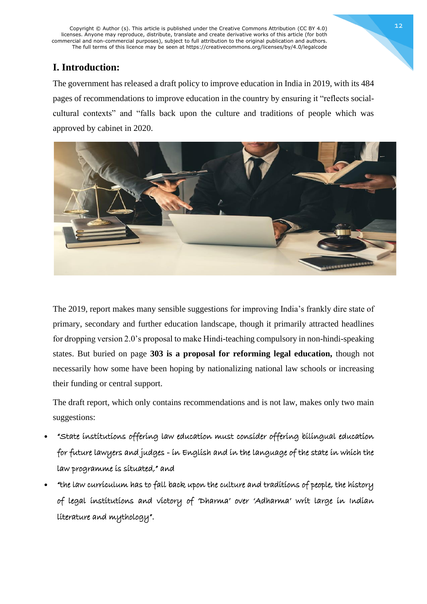Copyright © Author (s). This article is published under the Creative Commons Attribution (CC BY 4.0) licenses. Anyone may reproduce, distribute, translate and create derivative works of this article (for both commercial and non-commercial purposes), subject to full attribution to the original publication and authors. The full terms of this licence may be seen at https://creativecommons.org/licenses/by/4.0/legalcode

## **I. Introduction:**

The government has released a draft policy to improve education in India in 2019, with its 484 pages of recommendations to improve education in the country by ensuring it "reflects socialcultural contexts" and "falls back upon the culture and traditions of people which was approved by cabinet in 2020.



The 2019, report makes many sensible suggestions for improving India's frankly dire state of primary, secondary and further education landscape, though it primarily [attracted headlines](https://www.thehindubusinessline.com/news/education/hindi-not-mandatory-in-revised-draft-of-national-education-policy-2019/article27412661.ece) for dropping version 2.0's proposal to make Hindi-teaching compulsory in non-hindi-speaking states. But buried on page **303 is a proposal for reforming legal education,** though not necessarily how some have been hoping by nationalizing [national law schools](https://www.legallyindia.com/lawschools/nujs-leads-nlu-student-consortium-demand-for-ini-status-to-nlus-with-law-day-demonstrations-20181127-9661) or increasing their funding or central support.

The draft report, which only contains recommendations and is not law, makes only two main suggestions:

- "State institutions offering law education must consider offering bilingual education for future lawyers and judges - in English and in the language of the state in which the law programme is situated," and
- "the law curriculum has to fall back upon the culture and traditions of people, the history of legal institutions and victory of 'Dharma' over 'Adharma' writ large in Indian literature and mythology".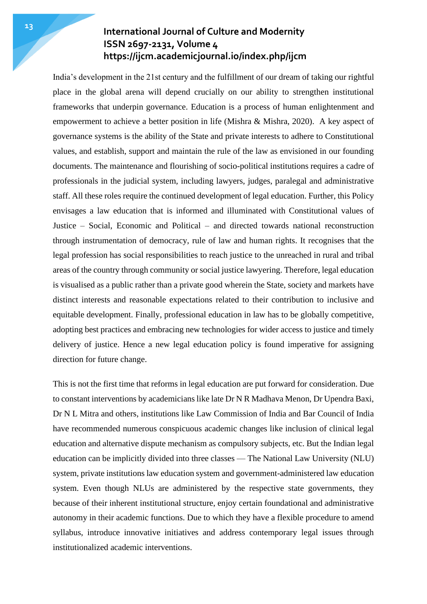India's development in the 21st century and the fulfillment of our dream of taking our rightful place in the global arena will depend crucially on our ability to strengthen institutional frameworks that underpin governance. Education is a process of human enlightenment and empowerment to achieve a better position in life (Mishra & Mishra, 2020). A key aspect of governance systems is the ability of the State and private interests to adhere to Constitutional values, and establish, support and maintain the rule of the law as envisioned in our founding documents. The maintenance and flourishing of socio-political institutions requires a cadre of professionals in the judicial system, including lawyers, judges, paralegal and administrative staff. All these roles require the continued development of legal education. Further, this Policy envisages a law education that is informed and illuminated with Constitutional values of Justice – Social, Economic and Political – and directed towards national reconstruction through instrumentation of democracy, rule of law and human rights. It recognises that the legal profession has social responsibilities to reach justice to the unreached in rural and tribal areas of the country through community or social justice lawyering. Therefore, legal education is visualised as a public rather than a private good wherein the State, society and markets have distinct interests and reasonable expectations related to their contribution to inclusive and equitable development. Finally, professional education in law has to be globally competitive, adopting best practices and embracing new technologies for wider access to justice and timely delivery of justice. Hence a new legal education policy is found imperative for assigning direction for future change.

This is not the first time that reforms in legal education are put forward for consideration. Due to constant interventions by academicians like late Dr N R Madhava Menon, Dr Upendra Baxi, Dr N L Mitra and others, institutions like Law Commission of India and Bar Council of India have recommended numerous conspicuous academic changes like inclusion of clinical legal education and alternative dispute mechanism as compulsory subjects, etc. But the Indian legal education can be implicitly divided into three classes — The National Law University (NLU) system, private institutions law education system and government-administered law education system. Even though NLUs are administered by the respective state governments, they because of their inherent institutional structure, enjoy certain foundational and administrative autonomy in their academic functions. Due to which they have a flexible procedure to amend syllabus, introduce innovative initiatives and address contemporary legal issues through institutionalized academic interventions.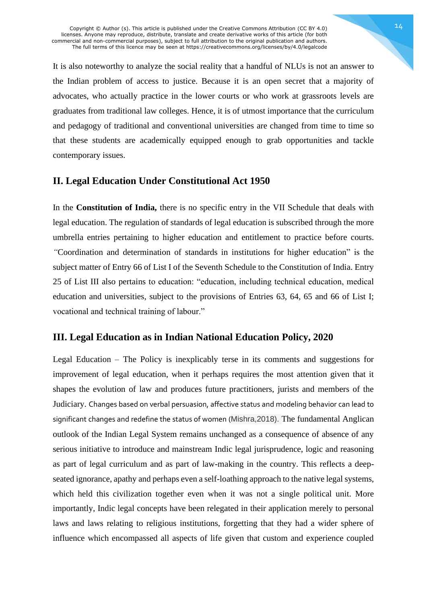It is also noteworthy to analyze the social reality that a handful of NLUs is not an answer to the Indian problem of access to justice. Because it is an open secret that a majority of advocates, who actually practice in the lower courts or who work at grassroots levels are graduates from traditional law colleges. Hence, it is of utmost importance that the curriculum and pedagogy of traditional and conventional universities are changed from time to time so that these students are academically equipped enough to grab opportunities and tackle contemporary issues.

### **II. Legal Education Under Constitutional Act 1950**

In the **Constitution of India,** there is no specific entry in the VII Schedule that deals with legal education. The regulation of standards of legal education is subscribed through the more umbrella entries pertaining to higher education and entitlement to practice before courts. *"*Coordination and determination of standards in institutions for higher education" is the subject matter of Entry 66 of List I of the Seventh Schedule to the Constitution of India. Entry 25 of List III also pertains to education: "education, including technical education, medical education and universities, subject to the provisions of Entries 63, 64, 65 and 66 of List I; vocational and technical training of labour."

### **III. Legal Education as in Indian National Education Policy, 2020**

Legal Education – The Policy is inexplicably terse in its comments and suggestions for improvement of legal education, when it perhaps requires the most attention given that it shapes the evolution of law and produces future practitioners, jurists and members of the Judiciary. Changes based on verbal persuasion, affective status and modeling behavior can lead to significant changes and redefine the status of women (Mishra,2018). The fundamental Anglican outlook of the Indian Legal System remains unchanged as a consequence of absence of any serious initiative to introduce and mainstream Indic legal jurisprudence, logic and reasoning as part of legal curriculum and as part of law-making in the country. This reflects a deepseated ignorance, apathy and perhaps even a self-loathing approach to the native legal systems, which held this civilization together even when it was not a single political unit. More importantly, Indic legal concepts have been relegated in their application merely to personal laws and laws relating to religious institutions, forgetting that they had a wider sphere of influence which encompassed all aspects of life given that custom and experience coupled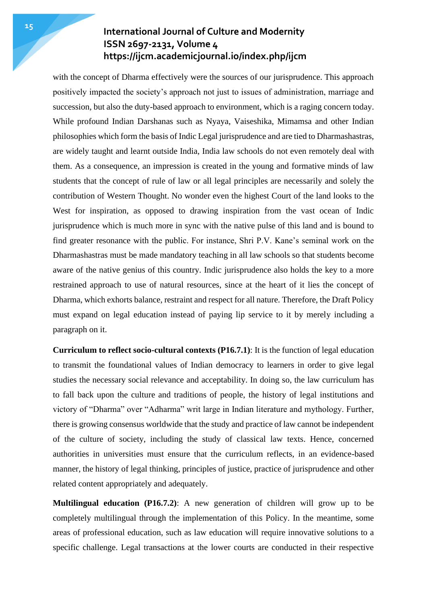with the concept of Dharma effectively were the sources of our jurisprudence. This approach positively impacted the society's approach not just to issues of administration, marriage and succession, but also the duty-based approach to environment, which is a raging concern today. While profound Indian Darshanas such as Nyaya, Vaiseshika, Mimamsa and other Indian philosophies which form the basis of Indic Legal jurisprudence and are tied to Dharmashastras, are widely taught and learnt outside India, India law schools do not even remotely deal with them. As a consequence, an impression is created in the young and formative minds of law students that the concept of rule of law or all legal principles are necessarily and solely the contribution of Western Thought. No wonder even the highest Court of the land looks to the West for inspiration, as opposed to drawing inspiration from the vast ocean of Indic jurisprudence which is much more in sync with the native pulse of this land and is bound to find greater resonance with the public. For instance, Shri P.V. Kane's seminal work on the Dharmashastras must be made mandatory teaching in all law schools so that students become aware of the native genius of this country. Indic jurisprudence also holds the key to a more restrained approach to use of natural resources, since at the heart of it lies the concept of Dharma, which exhorts balance, restraint and respect for all nature. Therefore, the Draft Policy must expand on legal education instead of paying lip service to it by merely including a paragraph on it.

**Curriculum to reflect socio-cultural contexts (P16.7.1)**: It is the function of legal education to transmit the foundational values of Indian democracy to learners in order to give legal studies the necessary social relevance and acceptability. In doing so, the law curriculum has to fall back upon the culture and traditions of people, the history of legal institutions and victory of "Dharma" over "Adharma" writ large in Indian literature and mythology. Further, there is growing consensus worldwide that the study and practice of law cannot be independent of the culture of society, including the study of classical law texts. Hence, concerned authorities in universities must ensure that the curriculum reflects, in an evidence-based manner, the history of legal thinking, principles of justice, practice of jurisprudence and other related content appropriately and adequately.

**Multilingual education (P16.7.2)**: A new generation of children will grow up to be completely multilingual through the implementation of this Policy. In the meantime, some areas of professional education, such as law education will require innovative solutions to a specific challenge. Legal transactions at the lower courts are conducted in their respective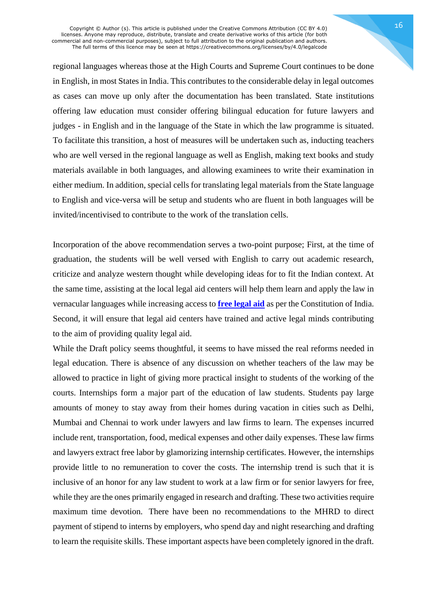Copyright © Author (s). This article is published under the Creative Commons Attribution (CC BY 4.0) licenses. Anyone may reproduce, distribute, translate and create derivative works of this article (for both commercial and non-commercial purposes), subject to full attribution to the original publication and authors. The full terms of this licence may be seen at https://creativecommons.org/licenses/by/4.0/legalcode

regional languages whereas those at the High Courts and Supreme Court continues to be done in English, in most States in India. This contributes to the considerable delay in legal outcomes as cases can move up only after the documentation has been translated. State institutions offering law education must consider offering bilingual education for future lawyers and judges - in English and in the language of the State in which the law programme is situated. To facilitate this transition, a host of measures will be undertaken such as, inducting teachers who are well versed in the regional language as well as English, making text books and study materials available in both languages, and allowing examinees to write their examination in either medium. In addition, special cells for translating legal materials from the State language to English and vice-versa will be setup and students who are fluent in both languages will be invited/incentivised to contribute to the work of the translation cells.

Incorporation of the above recommendation serves a two-point purpose; First, at the time of graduation, the students will be well versed with English to carry out academic research, criticize and analyze western thought while developing ideas for to fit the Indian context. At the same time, assisting at the local legal aid centers will help them learn and apply the law in vernacular languages while increasing access to **free [legal](http://pib.nic.in/newsite/mbErel.aspx?relid=118011) aid** as per the Constitution of India. Second, it will ensure that legal aid centers have trained and active legal minds contributing to the aim of providing quality legal aid.

While the Draft policy seems thoughtful, it seems to have missed the real reforms needed in legal education. There is absence of any discussion on whether teachers of the law may be allowed to practice in light of giving more practical insight to students of the working of the courts. Internships form a major part of the education of law students. Students pay large amounts of money to stay away from their homes during vacation in cities such as Delhi, Mumbai and Chennai to work under lawyers and law firms to learn. The expenses incurred include rent, transportation, food, medical expenses and other daily expenses. These law firms and lawyers extract free labor by glamorizing internship certificates. However, the internships provide little to no remuneration to cover the costs. The internship trend is such that it is inclusive of an honor for any law student to work at a law firm or for senior lawyers for free, while they are the ones primarily engaged in research and drafting. These two activities require maximum time devotion. There have been no recommendations to the MHRD to direct payment of stipend to interns by employers, who spend day and night researching and drafting to learn the requisite skills. These important aspects have been completely ignored in the draft.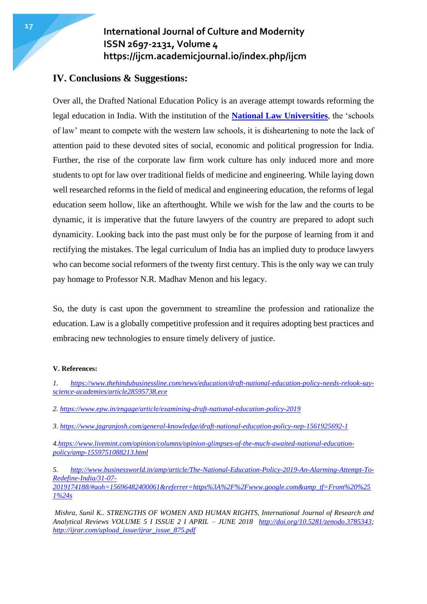### **IV. Conclusions & Suggestions:**

Over all, the Drafted National Education Policy is an average attempt towards reforming the legal education in India. With the institution of the **National Law [Universities](https://www.shiksha.com/law/articles/what-are-nlus-national-law-universities-how-are-these-different-from-other-law-schools-blogId-13314)**, the 'schools of law' meant to compete with the western law schools, it is disheartening to note the lack of attention paid to these devoted sites of social, economic and political progression for India. Further, the rise of the corporate law firm work culture has only induced more and more students to opt for law over traditional fields of medicine and engineering. While laying down well researched reforms in the field of medical and engineering education, the reforms of legal education seem hollow, like an afterthought. While we wish for the law and the courts to be dynamic, it is imperative that the future lawyers of the country are prepared to adopt such dynamicity. Looking back into the past must only be for the purpose of learning from it and rectifying the mistakes. The legal curriculum of India has an implied duty to produce lawyers who can become social reformers of the twenty first century. This is the only way we can truly pay homage to Professor N.R. Madhav Menon and his legacy.

So, the duty is cast upon the government to streamline the profession and rationalize the education. Law is a globally competitive profession and it requires adopting best practices and embracing new technologies to ensure timely delivery of justice.

#### **V. References:**

- *1. [https://www.thehindubusinessline.com/news/education/draft-national-education-policy-needs-relook-say](https://www.thehindubusinessline.com/news/education/draft-national-education-policy-needs-relook-say-science-academies/article28595738.ece)[science-academies/article28595738.ece](https://www.thehindubusinessline.com/news/education/draft-national-education-policy-needs-relook-say-science-academies/article28595738.ece)*
- *2. <https://www.epw.in/engage/article/examining-draft-national-education-policy-2019>*
- *3. <https://www.jagranjosh.com/general-knowledge/draft-national-education-policy-nep-1561925692-1>*

*4[.https://www.livemint.com/opinion/columns/opinion-glimpses-of-the-much-awaited-national-education](https://www.livemint.com/opinion/columns/opinion-glimpses-of-the-much-awaited-national-education-policy/amp-1559751088213.html)[policy/amp-1559751088213.html](https://www.livemint.com/opinion/columns/opinion-glimpses-of-the-much-awaited-national-education-policy/amp-1559751088213.html)*

*5. [http://www.businessworld.in/amp/article/The-National-Education-Policy-2019-An-Alarming-Attempt-To-](http://www.businessworld.in/amp/article/The-National-Education-Policy-2019-An-Alarming-Attempt-To-Redefine-India/31-07-2019174188/#aoh=15696482400061&referrer=https%3A%2F%2Fwww.google.com&_tf=From%20%251%24s)[Redefine-India/31-07-](http://www.businessworld.in/amp/article/The-National-Education-Policy-2019-An-Alarming-Attempt-To-Redefine-India/31-07-2019174188/#aoh=15696482400061&referrer=https%3A%2F%2Fwww.google.com&_tf=From%20%251%24s) [2019174188/#aoh=15696482400061&referrer=https%3A%2F%2Fwww.google.com&amp\\_tf=From%20%25](http://www.businessworld.in/amp/article/The-National-Education-Policy-2019-An-Alarming-Attempt-To-Redefine-India/31-07-2019174188/#aoh=15696482400061&referrer=https%3A%2F%2Fwww.google.com&_tf=From%20%251%24s) [1%24s](http://www.businessworld.in/amp/article/The-National-Education-Policy-2019-An-Alarming-Attempt-To-Redefine-India/31-07-2019174188/#aoh=15696482400061&referrer=https%3A%2F%2Fwww.google.com&_tf=From%20%251%24s)*

*Mishra, Sunil K.. STRENGTHS OF WOMEN AND HUMAN RIGHTS, International Journal of Research and Analytical Reviews VOLUME 5 I ISSUE 2 I APRIL – JUNE 2018 [http://doi.org/10.5281/zenodo.3785343;](http://doi.org/10.5281/zenodo.3785343) [http://ijrar.com/upload\\_issue/ijrar\\_issue\\_875.pdf](http://ijrar.com/upload_issue/ijrar_issue_875.pdf)*